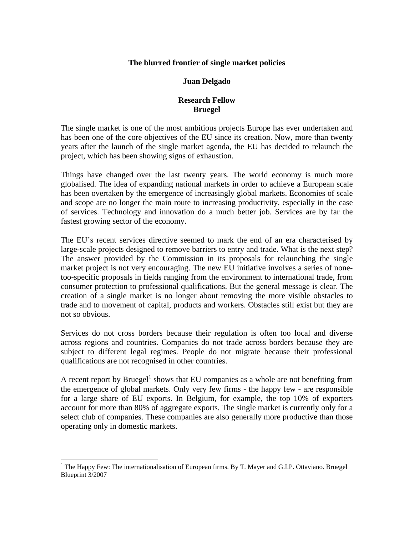## **The blurred frontier of single market policies**

## **Juan Delgado**

## **Research Fellow Bruegel**

The single market is one of the most ambitious projects Europe has ever undertaken and has been one of the core objectives of the EU since its creation. Now, more than twenty years after the launch of the single market agenda, the EU has decided to relaunch the project, which has been showing signs of exhaustion.

Things have changed over the last twenty years. The world economy is much more globalised. The idea of expanding national markets in order to achieve a European scale has been overtaken by the emergence of increasingly global markets. Economies of scale and scope are no longer the main route to increasing productivity, especially in the case of services. Technology and innovation do a much better job. Services are by far the fastest growing sector of the economy.

The EU's recent services directive seemed to mark the end of an era characterised by large-scale projects designed to remove barriers to entry and trade. What is the next step? The answer provided by the Commission in its proposals for relaunching the single market project is not very encouraging. The new EU initiative involves a series of nonetoo-specific proposals in fields ranging from the environment to international trade, from consumer protection to professional qualifications. But the general message is clear. The creation of a single market is no longer about removing the more visible obstacles to trade and to movement of capital, products and workers. Obstacles still exist but they are not so obvious.

Services do not cross borders because their regulation is often too local and diverse across regions and countries. Companies do not trade across borders because they are subject to different legal regimes. People do not migrate because their professional qualifications are not recognised in other countries.

A recent report by Bruegel<sup>1</sup> shows that EU companies as a whole are not benefiting from the emergence of global markets. Only very few firms - the happy few - are responsible for a large share of EU exports. In Belgium, for example, the top 10% of exporters account for more than 80% of aggregate exports. The single market is currently only for a select club of companies. These companies are also generally more productive than those operating only in domestic markets.

 $\overline{a}$ 

<sup>&</sup>lt;sup>1</sup> The Happy Few: The internationalisation of European firms. By T. Mayer and G.I.P. Ottaviano. Bruegel Blueprint 3/2007